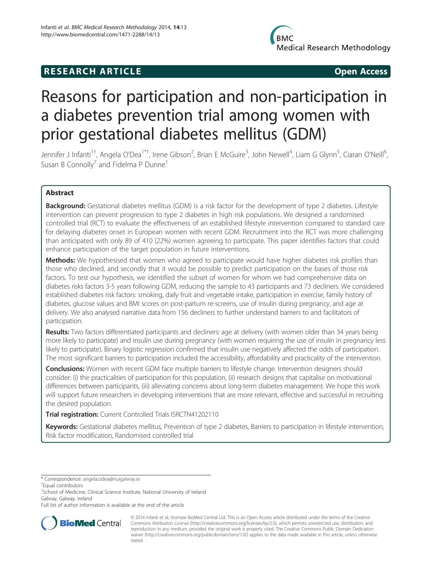# **RESEARCH ARTICLE CONSUMING A RESEARCH ARTICLE**

# Reasons for participation and non-participation in a diabetes prevention trial among women with prior gestational diabetes mellitus (GDM)

Jennifer J Infanti<sup>1†</sup>, Angela O'Dea<sup>1\*†</sup>, Irene Gibson<sup>2</sup>, Brian E McGuire<sup>3</sup>, John Newell<sup>4</sup>, Liam G Glynn<sup>5</sup>, Ciaran O'Neill<sup>6</sup> י<br>, Susan B Connolly<sup>7</sup> and Fidelma P Dunne<sup>1</sup>

# Abstract

Background: Gestational diabetes mellitus (GDM) is a risk factor for the development of type 2 diabetes. Lifestyle intervention can prevent progression to type 2 diabetes in high risk populations. We designed a randomised controlled trial (RCT) to evaluate the effectiveness of an established lifestyle intervention compared to standard care for delaying diabetes onset in European women with recent GDM. Recruitment into the RCT was more challenging than anticipated with only 89 of 410 (22%) women agreeing to participate. This paper identifies factors that could enhance participation of the target population in future interventions.

Methods: We hypothesised that women who agreed to participate would have higher diabetes risk profiles than those who declined, and secondly that it would be possible to predict participation on the bases of those risk factors. To test our hypothesis, we identified the subset of women for whom we had comprehensive data on diabetes risks factors 3-5 years following GDM, reducing the sample to 43 participants and 73 decliners. We considered established diabetes risk factors: smoking, daily fruit and vegetable intake, participation in exercise, family history of diabetes, glucose values and BMI scores on post-partum re-screens, use of insulin during pregnancy, and age at delivery. We also analysed narrative data from 156 decliners to further understand barriers to and facilitators of participation.

Results: Two factors differentiated participants and decliners: age at delivery (with women older than 34 years being more likely to participate) and insulin use during pregnancy (with women requiring the use of insulin in pregnancy less likely to participate). Binary logistic regression confirmed that insulin use negatively affected the odds of participation. The most significant barriers to participation included the accessibility, affordability and practicality of the intervention.

**Conclusions:** Women with recent GDM face multiple barriers to lifestyle change. Intervention designers should consider: (i) the practicalities of participation for this population, (ii) research designs that capitalise on motivational differences between participants, (iii) alleviating concerns about long-term diabetes management. We hope this work will support future researchers in developing interventions that are more relevant, effective and successful in recruiting the desired population.

Trial registration: Current Controlled Trials [ISRCTN41202110](http://www.controlled-trials.com/ISRCTN41202110)

Keywords: Gestational diabetes mellitus, Prevention of type 2 diabetes, Barriers to participation in lifestyle intervention, Risk factor modification, Randomised controlled trial

<sup>1</sup>School of Medicine, Clinical Science Institute, National University of Ireland Galway, Galway, Ireland

Full list of author information is available at the end of the article



© 2014 Infanti et al.; licensee BioMed Central Ltd. This is an Open Access article distributed under the terms of the Creative Commons Attribution License [\(http://creativecommons.org/licenses/by/2.0\)](http://creativecommons.org/licenses/by/2.0), which permits unrestricted use, distribution, and reproduction in any medium, provided the original work is properly cited. The Creative Commons Public Domain Dedication waiver [\(http://creativecommons.org/publicdomain/zero/1.0/\)](http://creativecommons.org/publicdomain/zero/1.0/) applies to the data made available in this article, unless otherwise stated.

<sup>\*</sup> Correspondence: [angela.odea@nuigalway.ie](mailto:angela.odea@nuigalway.ie) †

Equal contributors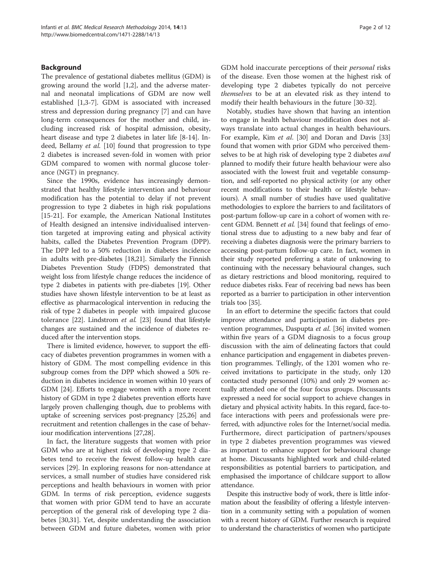# Background

The prevalence of gestational diabetes mellitus (GDM) is growing around the world [\[1,2](#page-9-0)], and the adverse maternal and neonatal implications of GDM are now well established [\[1,3-7](#page-9-0)]. GDM is associated with increased stress and depression during pregnancy [\[7](#page-9-0)] and can have long-term consequences for the mother and child, including increased risk of hospital admission, obesity, heart disease and type 2 diabetes in later life [[8](#page-9-0)[-14](#page-10-0)]. In-deed, Bellamy et al. [[10\]](#page-9-0) found that progression to type 2 diabetes is increased seven-fold in women with prior GDM compared to women with normal glucose tolerance (NGT) in pregnancy.

Since the 1990s, evidence has increasingly demonstrated that healthy lifestyle intervention and behaviour modification has the potential to delay if not prevent progression to type 2 diabetes in high risk populations [[15-21](#page-10-0)]. For example, the American National Institutes of Health designed an intensive individualised intervention targeted at improving eating and physical activity habits, called the Diabetes Prevention Program (DPP). The DPP led to a 50% reduction in diabetes incidence in adults with pre-diabetes [[18,21\]](#page-10-0). Similarly the Finnish Diabetes Prevention Study (FDPS) demonstrated that weight loss from lifestyle change reduces the incidence of type 2 diabetes in patients with pre-diabetes [[19](#page-10-0)]. Other studies have shown lifestyle intervention to be at least as effective as pharmacological intervention in reducing the risk of type 2 diabetes in people with impaired glucose tolerance [\[22\]](#page-10-0). Lindstrom et al. [\[23\]](#page-10-0) found that lifestyle changes are sustained and the incidence of diabetes reduced after the intervention stops.

There is limited evidence, however, to support the efficacy of diabetes prevention programmes in women with a history of GDM. The most compelling evidence in this subgroup comes from the DPP which showed a 50% reduction in diabetes incidence in women within 10 years of GDM [[24](#page-10-0)]. Efforts to engage women with a more recent history of GDM in type 2 diabetes prevention efforts have largely proven challenging though, due to problems with uptake of screening services post-pregnancy [[25,26](#page-10-0)] and recruitment and retention challenges in the case of behaviour modification interventions [\[27,28\]](#page-10-0).

In fact, the literature suggests that women with prior GDM who are at highest risk of developing type 2 diabetes tend to receive the fewest follow-up health care services [[29\]](#page-10-0). In exploring reasons for non-attendance at services, a small number of studies have considered risk perceptions and health behaviours in women with prior GDM. In terms of risk perception, evidence suggests that women with prior GDM tend to have an accurate perception of the general risk of developing type 2 diabetes [\[30,31](#page-10-0)]. Yet, despite understanding the association between GDM and future diabetes, women with prior GDM hold inaccurate perceptions of their personal risks of the disease. Even those women at the highest risk of developing type 2 diabetes typically do not perceive themselves to be at an elevated risk as they intend to modify their health behaviours in the future [[30-32\]](#page-10-0).

Notably, studies have shown that having an intention to engage in health behaviour modification does not always translate into actual changes in health behaviours. For example, Kim et al. [\[30\]](#page-10-0) and Doran and Davis [[33](#page-10-0)] found that women with prior GDM who perceived themselves to be at high risk of developing type 2 diabetes *and* planned to modify their future health behaviour were also associated with the lowest fruit and vegetable consumption, and self-reported no physical activity (or any other recent modifications to their health or lifestyle behaviours). A small number of studies have used qualitative methodologies to explore the barriers to and facilitators of post-partum follow-up care in a cohort of women with re-cent GDM. Bennett et al. [\[34\]](#page-10-0) found that feelings of emotional stress due to adjusting to a new baby and fear of receiving a diabetes diagnosis were the primary barriers to accessing post-partum follow-up care. In fact, women in their study reported preferring a state of unknowing to continuing with the necessary behavioural changes, such as dietary restrictions and blood monitoring, required to reduce diabetes risks. Fear of receiving bad news has been reported as a barrier to participation in other intervention trials too [[35](#page-10-0)].

In an effort to determine the specific factors that could improve attendance and participation in diabetes prevention programmes, Daspupta et al. [\[36\]](#page-10-0) invited women within five years of a GDM diagnosis to a focus group discussion with the aim of delineating factors that could enhance participation and engagement in diabetes prevention programmes. Tellingly, of the 1201 women who received invitations to participate in the study, only 120 contacted study personnel (10%) and only 29 women actually attended one of the four focus groups. Discussants expressed a need for social support to achieve changes in dietary and physical activity habits. In this regard, face-toface interactions with peers and professionals were preferred, with adjunctive roles for the Internet/social media. Furthermore, direct participation of partners/spouses in type 2 diabetes prevention programmes was viewed as important to enhance support for behavioural change at home. Discussants highlighted work and child-related responsibilities as potential barriers to participation, and emphasised the importance of childcare support to allow attendance.

Despite this instructive body of work, there is little information about the feasibility of offering a lifestyle intervention in a community setting with a population of women with a recent history of GDM. Further research is required to understand the characteristics of women who participate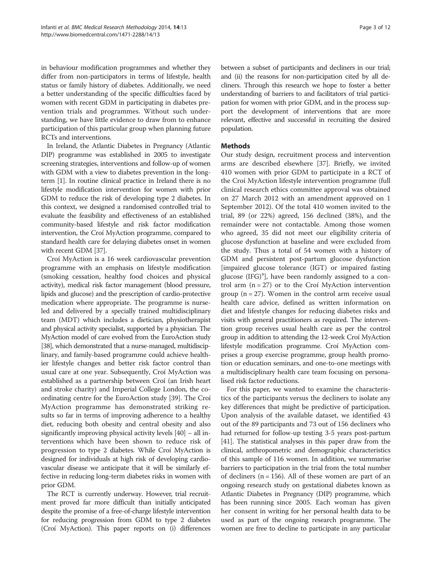in behaviour modification programmes and whether they differ from non-participators in terms of lifestyle, health status or family history of diabetes. Additionally, we need a better understanding of the specific difficulties faced by women with recent GDM in participating in diabetes prevention trials and programmes. Without such understanding, we have little evidence to draw from to enhance participation of this particular group when planning future RCTs and interventions.

In Ireland, the Atlantic Diabetes in Pregnancy (Atlantic DIP) programme was established in 2005 to investigate screening strategies, interventions and follow-up of women with GDM with a view to diabetes prevention in the longterm [\[1\]](#page-9-0). In routine clinical practice in Ireland there is no lifestyle modification intervention for women with prior GDM to reduce the risk of developing type 2 diabetes. In this context, we designed a randomised controlled trial to evaluate the feasibility and effectiveness of an established community-based lifestyle and risk factor modification intervention, the Croí MyAction programme, compared to standard health care for delaying diabetes onset in women with recent GDM [[37](#page-10-0)].

Croí MyAction is a 16 week cardiovascular prevention programme with an emphasis on lifestyle modification (smoking cessation, healthy food choices and physical activity), medical risk factor management (blood pressure, lipids and glucose) and the prescription of cardio-protective medication where appropriate. The programme is nurseled and delivered by a specially trained multidisciplinary team (MDT) which includes a dietician, physiotherapist and physical activity specialist, supported by a physician. The MyAction model of care evolved from the EuroAction study [[38\]](#page-10-0), which demonstrated that a nurse-managed, multidisciplinary, and family-based programme could achieve healthier lifestyle changes and better risk factor control than usual care at one year. Subsequently, Croí MyAction was established as a partnership between Croí (an Irish heart and stroke charity) and Imperial College London, the coordinating centre for the EuroAction study [\[39\]](#page-10-0). The Croí MyAction programme has demonstrated striking results so far in terms of improving adherence to a healthy diet, reducing both obesity and central obesity and also significantly improving physical activity levels [[40](#page-10-0)] – all interventions which have been shown to reduce risk of progression to type 2 diabetes. While Croí MyAction is designed for individuals at high risk of developing cardiovascular disease we anticipate that it will be similarly effective in reducing long-term diabetes risks in women with prior GDM.

The RCT is currently underway. However, trial recruitment proved far more difficult than initially anticipated despite the promise of a free-of-charge lifestyle intervention for reducing progression from GDM to type 2 diabetes (Croí MyAction). This paper reports on (i) differences

between a subset of participants and decliners in our trial; and (ii) the reasons for non-participation cited by all decliners. Through this research we hope to foster a better understanding of barriers to and facilitators of trial participation for women with prior GDM, and in the process support the development of interventions that are more relevant, effective and successful in recruiting the desired population.

# **Methods**

Our study design, recruitment process and intervention arms are described elsewhere [\[37\]](#page-10-0). Briefly, we invited 410 women with prior GDM to participate in a RCT of the Croí MyAction lifestyle intervention programme (full clinical research ethics committee approval was obtained on 27 March 2012 with an amendment approved on 1 September 2012). Of the total 410 women invited to the trial, 89 (or 22%) agreed, 156 declined (38%), and the remainder were not contactable. Among those women who agreed, 35 did not meet our eligibility criteria of glucose dysfunction at baseline and were excluded from the study. Thus a total of 54 women with a history of GDM and persistent post-partum glucose dysfunction [impaired glucose tolerance (IGT) or impaired fasting glucose (IFG)<sup>a</sup>], have been randomly assigned to a control arm  $(n = 27)$  or to the Croí MyAction intervention group ( $n = 27$ ). Women in the control arm receive usual health care advice, defined as written information on diet and lifestyle changes for reducing diabetes risks and visits with general practitioners as required. The intervention group receives usual health care as per the control group in addition to attending the 12-week Croí MyAction lifestyle modification programme. Croí MyAction comprises a group exercise programme, group health promotion or education seminars, and one-to-one meetings with a multidisciplinary health care team focusing on personalised risk factor reductions.

For this paper, we wanted to examine the characteristics of the participants versus the decliners to isolate any key differences that might be predictive of participation. Upon analysis of the available dataset, we identified 43 out of the 89 participants and 73 out of 156 decliners who had returned for follow-up testing 3-5 years post-partum [[41](#page-10-0)]. The statistical analyses in this paper draw from the clinical, anthropometric and demographic characteristics of this sample of 116 women. In addition, we summarise barriers to participation in the trial from the total number of decliners ( $n = 156$ ). All of these women are part of an ongoing research study on gestational diabetes known as Atlantic Diabetes in Pregnancy (DIP) programme, which has been running since 2005. Each woman has given her consent in writing for her personal health data to be used as part of the ongoing research programme. The women are free to decline to participate in any particular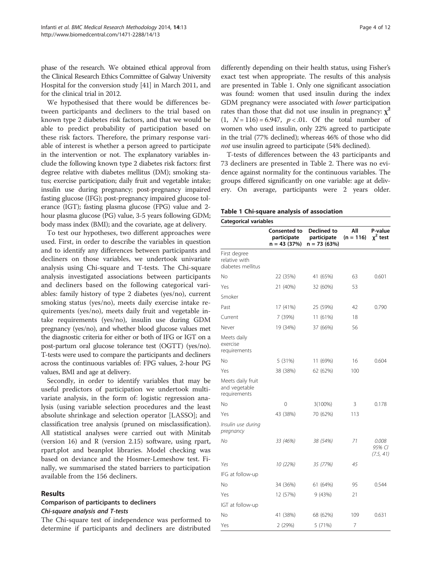phase of the research. We obtained ethical approval from the Clinical Research Ethics Committee of Galway University Hospital for the conversion study [\[41\]](#page-10-0) in March 2011, and for the clinical trial in 2012.

We hypothesised that there would be differences between participants and decliners to the trial based on known type 2 diabetes risk factors, and that we would be able to predict probability of participation based on these risk factors. Therefore, the primary response variable of interest is whether a person agreed to participate in the intervention or not. The explanatory variables include the following known type 2 diabetes risk factors: first degree relative with diabetes mellitus (DM); smoking status; exercise participation; daily fruit and vegetable intake; insulin use during pregnancy; post-pregnancy impaired fasting glucose (IFG); post-pregnancy impaired glucose tolerance (IGT); fasting plasma glucose (FPG) value and 2 hour plasma glucose (PG) value, 3-5 years following GDM; body mass index (BMI); and the covariate, age at delivery.

To test our hypotheses, two different approaches were used. First, in order to describe the variables in question and to identify any differences between participants and decliners on those variables, we undertook univariate analysis using Chi-square and T-tests. The Chi-square analysis investigated associations between participants and decliners based on the following categorical variables: family history of type 2 diabetes (yes/no), current smoking status (yes/no), meets daily exercise intake requirements (yes/no), meets daily fruit and vegetable intake requirements (yes/no), insulin use during GDM pregnancy (yes/no), and whether blood glucose values met the diagnostic criteria for either or both of IFG or IGT on a post-partum oral glucose tolerance test (OGTT) (yes/no). T-tests were used to compare the participants and decliners across the continuous variables of: FPG values, 2-hour PG values, BMI and age at delivery.

Secondly, in order to identify variables that may be useful predictors of participation we undertook multivariate analysis, in the form of: logistic regression analysis (using variable selection procedures and the least absolute shrinkage and selection operator [LASSO]; and classification tree analysis (pruned on misclassification). All statistical analyses were carried out with Minitab (version 16) and R (version 2.15) software, using rpart, rpart.plot and beanplot libraries. Model checking was based on deviance and the Hosmer-Lemeshow test. Finally, we summarised the stated barriers to participation available from the 156 decliners.

#### Results

# Comparison of participants to decliners Chi-square analysis and T-tests

The Chi-square test of independence was performed to determine if participants and decliners are distributed

differently depending on their health status, using Fisher's exact test when appropriate. The results of this analysis are presented in Table 1. Only one significant association was found: women that used insulin during the index GDM pregnancy were associated with lower participation rates than those that did not use insulin in pregnancy:  $\chi^2$  $(1, N = 116) = 6.947$ ,  $p < .01$ . Of the total number of women who used insulin, only 22% agreed to participate in the trial (77% declined); whereas 46% of those who did not use insulin agreed to participate (54% declined).

T-tests of differences between the 43 participants and 73 decliners are presented in Table [2](#page-4-0). There was no evidence against normality for the continuous variables. The groups differed significantly on one variable: age at delivery. On average, participants were 2 years older.

| Table 1 Chi-square analysis of association |  |
|--------------------------------------------|--|
|--------------------------------------------|--|

| <b>Categorical variables</b>                       |                                                     |                                             |                    |                              |  |  |
|----------------------------------------------------|-----------------------------------------------------|---------------------------------------------|--------------------|------------------------------|--|--|
|                                                    | <b>Consented to</b><br>participate<br>$n = 43(37%)$ | Declined to<br>participate<br>$n = 73(63%)$ | All<br>$(n = 116)$ | P-value<br>$x^2$ test        |  |  |
| First degree<br>relative with<br>diabetes mellitus |                                                     |                                             |                    |                              |  |  |
| No                                                 | 22 (35%)                                            | 41 (65%)                                    | 63                 | 0.601                        |  |  |
| Yes                                                | 21 (40%)                                            | 32 (60%)                                    | 53                 |                              |  |  |
| Smoker                                             |                                                     |                                             |                    |                              |  |  |
| Past                                               | 17 (41%)                                            | 25 (59%)                                    | 42                 | 0.790                        |  |  |
| Current                                            | 7 (39%)                                             | 11 (61%)                                    | 18                 |                              |  |  |
| Never                                              | 19 (34%)                                            | 37 (66%)                                    | 56                 |                              |  |  |
| Meets daily<br>exercise<br>requirements            |                                                     |                                             |                    |                              |  |  |
| No                                                 | 5 (31%)                                             | 11 (69%)                                    | 16                 | 0.604                        |  |  |
| Yes                                                | 38 (38%)                                            | 62 (62%)                                    | 100                |                              |  |  |
| Meets daily fruit<br>and vegetable<br>requirements |                                                     |                                             |                    |                              |  |  |
| No                                                 | 0                                                   | $3(100\%)$                                  | 3                  | 0.178                        |  |  |
| Yes                                                | 43 (38%)                                            | 70 (62%)                                    | 113                |                              |  |  |
| Insulin use during<br>pregnancy                    |                                                     |                                             |                    |                              |  |  |
| No                                                 | 33 (46%)                                            | 38 (54%)                                    | 71                 | 0.008<br>95% CI<br>(7.5, 41) |  |  |
| Yes                                                | 10 (22%)                                            | 35 (77%)                                    | 45                 |                              |  |  |
| IFG at follow-up                                   |                                                     |                                             |                    |                              |  |  |
| Nο                                                 | 34 (36%)                                            | 61 (64%)                                    | 95                 | 0.544                        |  |  |
| Yes                                                | 12 (57%)                                            | 9 (43%)                                     | 21                 |                              |  |  |
| IGT at follow-up                                   |                                                     |                                             |                    |                              |  |  |
| No                                                 | 41 (38%)                                            | 68 (62%)                                    | 109                | 0.631                        |  |  |
| Yes                                                | 2 (29%)                                             | 5 (71%)                                     | 7                  |                              |  |  |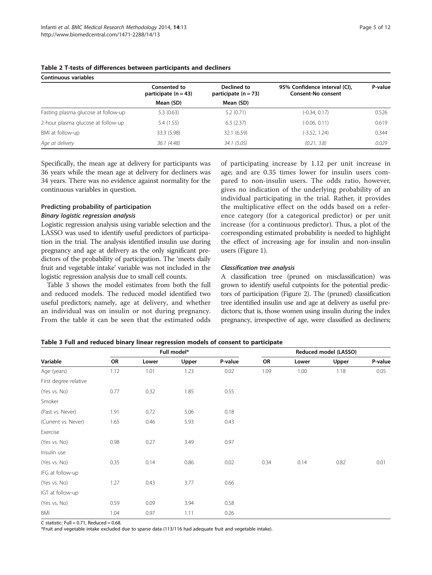| Continuous variables                |                                          |                                       |                                                     |         |  |  |  |
|-------------------------------------|------------------------------------------|---------------------------------------|-----------------------------------------------------|---------|--|--|--|
|                                     | Consented to<br>participate ( $n = 43$ ) | Declined to<br>participate $(n = 73)$ | 95% Confidence interval (CI),<br>Consent-No consent | P-value |  |  |  |
|                                     | Mean (SD)                                | Mean (SD)                             |                                                     |         |  |  |  |
| Fasting plasma glucose at follow-up | 5.3(0.63)                                | 5.2(0.71)                             | $(-0.34, 0.17)$                                     | 0.526   |  |  |  |
| 2-hour plasma glucose at follow-up  | 5.4 (1.55)                               | 6.3(2.37)                             | $(-0.06, 0.11)$                                     | 0.619   |  |  |  |
| BMI at follow-up                    | 33.3 (5.98)                              | 32.1 (6.59)                           | (-3.52, 1.24)                                       | 0.344   |  |  |  |
| Age at delivery                     | 36.1 (4.48)                              | 34.1(5.05)                            | (0.21, 3.8)                                         | 0.029   |  |  |  |

#### <span id="page-4-0"></span>Table 2 T-tests of differences between participants and decliners

Specifically, the mean age at delivery for participants was 36 years while the mean age at delivery for decliners was 34 years. There was no evidence against normality for the continuous variables in question.

# Predicting probability of participation Binary logistic regression analysis

Logistic regression analysis using variable selection and the LASSO was used to identify useful predictors of participation in the trial. The analysis identified insulin use during pregnancy and age at delivery as the only significant predictors of the probability of participation. The 'meets daily fruit and vegetable intake' variable was not included in the logistic regression analysis due to small cell counts.

Table 3 shows the model estimates from both the full and reduced models. The reduced model identified two useful predictors; namely, age at delivery, and whether an individual was on insulin or not during pregnancy. From the table it can be seen that the estimated odds

of participating increase by 1.12 per unit increase in age; and are 0.35 times lower for insulin users compared to non-insulin users. The odds ratio, however, gives no indication of the underlying probability of an individual participating in the trial. Rather, it provides the multiplicative effect on the odds based on a reference category (for a categorical predictor) or per unit increase (for a continuous predictor). Thus, a plot of the corresponding estimated probability is needed to highlight the effect of increasing age for insulin and non-insulin users (Figure [1\)](#page-5-0).

#### Classification tree analysis

A classification tree (pruned on misclassification) was grown to identify useful cutpoints for the potential predictors of participation (Figure [2](#page-5-0)). The (pruned) classification tree identified insulin use and age at delivery as useful predictors; that is, those women using insulin during the index pregnancy, irrespective of age, were classified as decliners;

| Table 3 Full and reduced binary linear regression models of consent to participate |  |  |
|------------------------------------------------------------------------------------|--|--|
|                                                                                    |  |  |

|                       | Full model* |       |       |         | Reduced model (LASSO) |       |       |         |
|-----------------------|-------------|-------|-------|---------|-----------------------|-------|-------|---------|
| Variable              | OR          | Lower | Upper | P-value | OR                    | Lower | Upper | P-value |
| Age (years)           | 1.12        | 1.01  | 1.23  | 0.02    | 1.09                  | 1.00  | 1.18  | 0.05    |
| First degree relative |             |       |       |         |                       |       |       |         |
| (Yes vs. No)          | 0.77        | 0.32  | 1.85  | 0.55    |                       |       |       |         |
| Smoker                |             |       |       |         |                       |       |       |         |
| (Past vs. Never)      | 1.91        | 0.72  | 5.06  | 0.18    |                       |       |       |         |
| (Current vs. Never)   | 1.65        | 0.46  | 5.93  | 0.43    |                       |       |       |         |
| Exercise              |             |       |       |         |                       |       |       |         |
| (Yes vs. No)          | 0.98        | 0.27  | 3.49  | 0.97    |                       |       |       |         |
| Insulin use           |             |       |       |         |                       |       |       |         |
| (Yes vs. No)          | 0.35        | 0.14  | 0.86  | 0.02    | 0.34                  | 0.14  | 0.82  | 0.01    |
| IFG at follow-up      |             |       |       |         |                       |       |       |         |
| (Yes vs. No)          | 1.27        | 0.43  | 3.77  | 0.66    |                       |       |       |         |
| IGT at follow-up      |             |       |       |         |                       |       |       |         |
| (Yes vs. No)          | 0.59        | 0.09  | 3.94  | 0.58    |                       |       |       |         |
| BMI                   | 1.04        | 0.97  | 1.11  | 0.26    |                       |       |       |         |

C statistic: Full =  $0.71$ , Reduced =  $0.68$ 

\*Fruit and vegetable intake excluded due to sparse data (113/116 had adequate fruit and vegetable intake).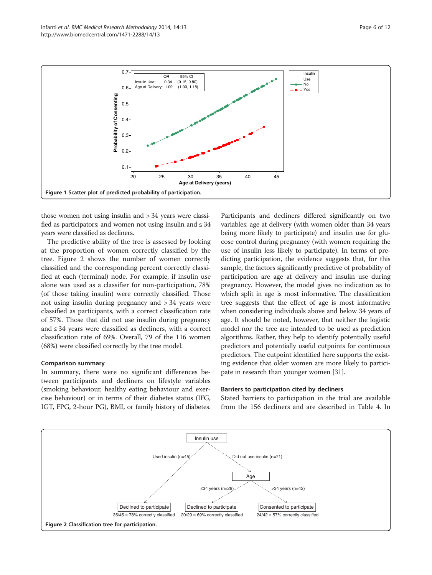<span id="page-5-0"></span>

those women not using insulin and > 34 years were classified as participators; and women not using insulin and  $\leq 34$ years were classified as decliners.

The predictive ability of the tree is assessed by looking at the proportion of women correctly classified by the tree. Figure 2 shows the number of women correctly classified and the corresponding percent correctly classified at each (terminal) node. For example, if insulin use alone was used as a classifier for non-participation, 78% (of those taking insulin) were correctly classified. Those not using insulin during pregnancy and > 34 years were classified as participants, with a correct classification rate of 57%. Those that did not use insulin during pregnancy and ≤ 34 years were classified as decliners, with a correct classification rate of 69%. Overall, 79 of the 116 women (68%) were classified correctly by the tree model.

#### Comparison summary

In summary, there were no significant differences between participants and decliners on lifestyle variables (smoking behaviour, healthy eating behaviour and exercise behaviour) or in terms of their diabetes status (IFG, IGT, FPG, 2-hour PG), BMI, or family history of diabetes. Participants and decliners differed significantly on two variables: age at delivery (with women older than 34 years being more likely to participate) and insulin use for glucose control during pregnancy (with women requiring the use of insulin less likely to participate). In terms of predicting participation, the evidence suggests that, for this sample, the factors significantly predictive of probability of participation are age at delivery and insulin use during pregnancy. However, the model gives no indication as to which split in age is most informative. The classification tree suggests that the effect of age is most informative when considering individuals above and below 34 years of age. It should be noted, however, that neither the logistic model nor the tree are intended to be used as prediction algorithms. Rather, they help to identify potentially useful predictors and potentially useful cutpoints for continuous predictors. The cutpoint identified here supports the existing evidence that older women are more likely to participate in research than younger women [\[31](#page-10-0)].

#### Barriers to participation cited by decliners

Stated barriers to participation in the trial are available from the 156 decliners and are described in Table [4.](#page-6-0) In

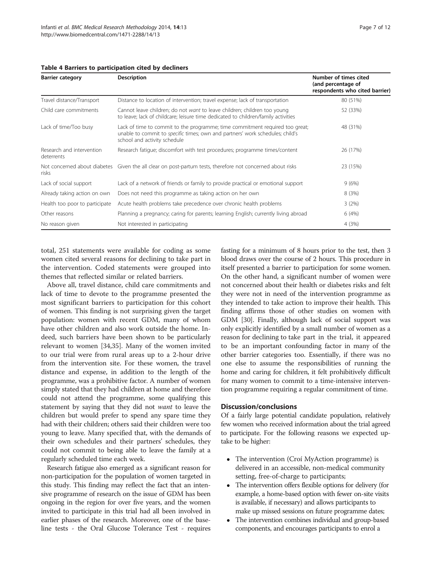| <b>Barrier category</b>                 | <b>Description</b>                                                                                                                                                                                   | Number of times cited<br>(and percentage of<br>respondents who cited barrier) |
|-----------------------------------------|------------------------------------------------------------------------------------------------------------------------------------------------------------------------------------------------------|-------------------------------------------------------------------------------|
| Travel distance/Transport               | Distance to location of intervention; travel expense; lack of transportation                                                                                                                         | 80 (51%)                                                                      |
| Child care commitments                  | Cannot leave children; do not want to leave children; children too young<br>to leave; lack of childcare; leisure time dedicated to children/family activities                                        | 52 (33%)                                                                      |
| Lack of time/Too busy                   | Lack of time to commit to the programme; time commitment required too great;<br>unable to commit to <i>specific</i> times; own and partners' work schedules; child's<br>school and activity schedule | 48 (31%)                                                                      |
| Research and intervention<br>deterrents | Research fatique; discomfort with test procedures; programme times/content                                                                                                                           | 26 (17%)                                                                      |
| risks                                   | Not concerned about diabetes Given the all clear on post-partum tests, therefore not concerned about risks                                                                                           | 23 (15%)                                                                      |
| Lack of social support                  | Lack of a network of friends or family to provide practical or emotional support                                                                                                                     | 9(6%)                                                                         |
| Already taking action on own            | Does not need this programme as taking action on her own                                                                                                                                             | 8(3%)                                                                         |
| Health too poor to participate          | Acute health problems take precedence over chronic health problems                                                                                                                                   | 3(2%)                                                                         |
| Other reasons                           | Planning a pregnancy; caring for parents; learning English; currently living abroad                                                                                                                  | 6(4%)                                                                         |
| No reason given                         | Not interested in participating                                                                                                                                                                      | 4 (3%)                                                                        |

#### <span id="page-6-0"></span>Table 4 Barriers to participation cited by decliners

total, 251 statements were available for coding as some women cited several reasons for declining to take part in the intervention. Coded statements were grouped into themes that reflected similar or related barriers.

Above all, travel distance, child care commitments and lack of time to devote to the programme presented the most significant barriers to participation for this cohort of women. This finding is not surprising given the target population: women with recent GDM, many of whom have other children and also work outside the home. Indeed, such barriers have been shown to be particularly relevant to women [\[34,35](#page-10-0)]. Many of the women invited to our trial were from rural areas up to a 2-hour drive from the intervention site. For these women, the travel distance and expense, in addition to the length of the programme, was a prohibitive factor. A number of women simply stated that they had children at home and therefore could not attend the programme, some qualifying this statement by saying that they did not want to leave the children but would prefer to spend any spare time they had with their children; others said their children were too young to leave. Many specified that, with the demands of their own schedules and their partners' schedules, they could not commit to being able to leave the family at a regularly scheduled time each week.

Research fatigue also emerged as a significant reason for non-participation for the population of women targeted in this study. This finding may reflect the fact that an intensive programme of research on the issue of GDM has been ongoing in the region for over five years, and the women invited to participate in this trial had all been involved in earlier phases of the research. Moreover, one of the baseline tests - the Oral Glucose Tolerance Test - requires

fasting for a minimum of 8 hours prior to the test, then 3 blood draws over the course of 2 hours. This procedure in itself presented a barrier to participation for some women. On the other hand, a significant number of women were not concerned about their health or diabetes risks and felt they were not in need of the intervention programme as they intended to take action to improve their health. This finding affirms those of other studies on women with GDM [[30](#page-10-0)]. Finally, although lack of social support was only explicitly identified by a small number of women as a reason for declining to take part in the trial, it appeared to be an important confounding factor in many of the other barrier categories too. Essentially, if there was no one else to assume the responsibilities of running the home and caring for children, it felt prohibitively difficult for many women to commit to a time-intensive intervention programme requiring a regular commitment of time.

#### Discussion/conclusions

Of a fairly large potential candidate population, relatively few women who received information about the trial agreed to participate. For the following reasons we expected uptake to be higher:

- The intervention (Croí MyAction programme) is delivered in an accessible, non-medical community setting, free-of-charge to participants;
- The intervention offers flexible options for delivery (for example, a home-based option with fewer on-site visits is available, if necessary) and allows participants to make up missed sessions on future programme dates;
- The intervention combines individual and group-based components, and encourages participants to enrol a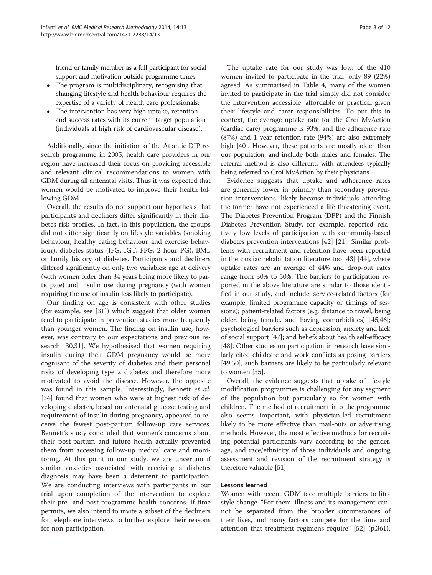friend or family member as a full participant for social support and motivation outside programme times;

- The program is multidisciplinary, recognising that changing lifestyle and health behaviour requires the expertise of a variety of health care professionals;
- The intervention has very high uptake, retention and success rates with its current target population (individuals at high risk of cardiovascular disease).

Additionally, since the initiation of the Atlantic DIP research programme in 2005, health care providers in our region have increased their focus on providing accessible and relevant clinical recommendations to women with GDM during all antenatal visits. Thus it was expected that women would be motivated to improve their health following GDM.

Overall, the results do not support our hypothesis that participants and decliners differ significantly in their diabetes risk profiles. In fact, in this population, the groups did not differ significantly on lifestyle variables (smoking behaviour, healthy eating behaviour and exercise behaviour), diabetes status (IFG, IGT, FPG, 2-hour PG), BMI, or family history of diabetes. Participants and decliners differed significantly on only two variables: age at delivery (with women older than 34 years being more likely to participate) and insulin use during pregnancy (with women requiring the use of insulin less likely to participate).

Our finding on age is consistent with other studies (for example, see [[31](#page-10-0)]) which suggest that older women tend to participate in prevention studies more frequently than younger women. The finding on insulin use, however, was contrary to our expectations and previous research [\[30,31](#page-10-0)]. We hypothesised that women requiring insulin during their GDM pregnancy would be more cognisant of the severity of diabetes and their personal risks of developing type 2 diabetes and therefore more motivated to avoid the disease. However, the opposite was found in this sample. Interestingly, Bennett et al. [[34\]](#page-10-0) found that women who were at highest risk of developing diabetes, based on antenatal glucose testing and requirement of insulin during pregnancy, appeared to receive the fewest post-partum follow-up care services. Bennett's study concluded that women's concerns about their post-partum and future health actually prevented them from accessing follow-up medical care and monitoring. At this point in our study, we are uncertain if similar anxieties associated with receiving a diabetes diagnosis may have been a deterrent to participation. We are conducting interviews with participants in our trial upon completion of the intervention to explore their pre- and post-programme health concerns. If time permits, we also intend to invite a subset of the decliners for telephone interviews to further explore their reasons for non-participation.

The uptake rate for our study was low: of the 410 women invited to participate in the trial, only 89 (22%) agreed. As summarised in Table [4](#page-6-0), many of the women invited to participate in the trial simply did not consider the intervention accessible, affordable or practical given their lifestyle and carer responsibilities. To put this in context, the average uptake rate for the Croí MyAction (cardiac care) programme is 93%, and the adherence rate (87%) and 1 year retention rate (94%) are also extremely high [\[40\]](#page-10-0). However, these patients are mostly older than our population, and include both males and females. The referral method is also different, with attendees typically being referred to Croí MyAction by their physicians.

Evidence suggests that uptake and adherence rates are generally lower in primary than secondary prevention interventions, likely because individuals attending the former have not experienced a life threatening event. The Diabetes Prevention Program (DPP) and the Finnish Diabetes Prevention Study, for example, reported relatively low levels of participation with community-based diabetes prevention interventions [[42](#page-10-0)] [\[21\]](#page-10-0). Similar problems with recruitment and retention have been reported in the cardiac rehabilitation literature too [[43](#page-10-0)] [\[44](#page-10-0)], where uptake rates are an average of 44% and drop-out rates range from 30% to 50%. The barriers to participation reported in the above literature are similar to those identified in our study, and include: service-related factors (for example, limited programme capacity or timings of sessions); patient-related factors (e.g. distance to travel, being older, being female, and having comorbidities) [\[45,46](#page-10-0)]; psychological barriers such as depression, anxiety and lack of social support [[47](#page-11-0)]; and beliefs about health self-efficacy [[48](#page-11-0)]. Other studies on participation in research have similarly cited childcare and work conflicts as posing barriers [[49](#page-11-0),[50](#page-11-0)], such barriers are likely to be particularly relevant to women [[35](#page-10-0)].

Overall, the evidence suggests that uptake of lifestyle modification programmes is challenging for any segment of the population but particularly so for women with children. The method of recruitment into the programme also seems important, with physician-led recruitment likely to be more effective than mail-outs or advertising methods. However, the most effective methods for recruiting potential participants vary according to the gender, age, and race/ethnicity of those individuals and ongoing assessment and revision of the recruitment strategy is therefore valuable [[51\]](#page-11-0).

# Lessons learned

Women with recent GDM face multiple barriers to lifestyle change. "For them, illness and its management cannot be separated from the broader circumstances of their lives, and many factors compete for the time and attention that treatment regimens require" [[52\]](#page-11-0) (p.361).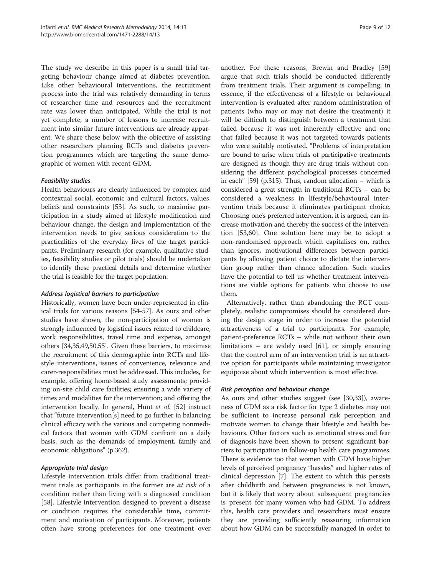The study we describe in this paper is a small trial targeting behaviour change aimed at diabetes prevention. Like other behavioural interventions, the recruitment process into the trial was relatively demanding in terms of researcher time and resources and the recruitment rate was lower than anticipated. While the trial is not yet complete, a number of lessons to increase recruitment into similar future interventions are already apparent. We share these below with the objective of assisting other researchers planning RCTs and diabetes prevention programmes which are targeting the same demographic of women with recent GDM.

# Feasibility studies

Health behaviours are clearly influenced by complex and contextual social, economic and cultural factors, values, beliefs and constraints [\[53](#page-11-0)]. As such, to maximise participation in a study aimed at lifestyle modification and behaviour change, the design and implementation of the intervention needs to give serious consideration to the practicalities of the everyday lives of the target participants. Preliminary research (for example, qualitative studies, feasibility studies or pilot trials) should be undertaken to identify these practical details and determine whether the trial is feasible for the target population.

# Address logistical barriers to participation

Historically, women have been under-represented in clinical trials for various reasons [[54-57\]](#page-11-0). As ours and other studies have shown, the non-participation of women is strongly influenced by logistical issues related to childcare, work responsibilities, travel time and expense, amongst others [\[34,35](#page-10-0),[49,50,55\]](#page-11-0). Given these barriers, to maximise the recruitment of this demographic into RCTs and lifestyle interventions, issues of convenience, relevance and carer-responsibilities must be addressed. This includes, for example, offering home-based study assessments; providing on-site child care facilities; ensuring a wide variety of times and modalities for the intervention; and offering the intervention locally. In general, Hunt et al. [[52](#page-11-0)] instruct that "future intervention[s] need to go further in balancing clinical efficacy with the various and competing nonmedical factors that women with GDM confront on a daily basis, such as the demands of employment, family and economic obligations" (p.362).

# Appropriate trial design

Lifestyle intervention trials differ from traditional treatment trials as participants in the former are at risk of a condition rather than living with a diagnosed condition [[58\]](#page-11-0). Lifestyle intervention designed to prevent a disease or condition requires the considerable time, commitment and motivation of participants. Moreover, patients often have strong preferences for one treatment over

another. For these reasons, Brewin and Bradley [[59](#page-11-0)] argue that such trials should be conducted differently from treatment trials. Their argument is compelling; in essence, if the effectiveness of a lifestyle or behavioural intervention is evaluated after random administration of patients (who may or may not desire the treatment) it will be difficult to distinguish between a treatment that failed because it was not inherently effective and one that failed because it was not targeted towards patients who were suitably motivated. "Problems of interpretation are bound to arise when trials of participative treatments are designed as though they are drug trials without considering the different psychological processes concerned in each" [[59](#page-11-0)] (p.315). Thus, random allocation – which is considered a great strength in traditional RCTs – can be considered a weakness in lifestyle/behavioural intervention trials because it eliminates participant choice. Choosing one's preferred intervention, it is argued, can increase motivation and thereby the success of the intervention [[53](#page-11-0),[60\]](#page-11-0). One solution here may be to adopt a non-randomised approach which capitalises on, rather than ignores, motivational differences between participants by allowing patient choice to dictate the intervention group rather than chance allocation. Such studies have the potential to tell us whether treatment interventions are viable options for patients who choose to use them.

Alternatively, rather than abandoning the RCT completely, realistic compromises should be considered during the design stage in order to increase the potential attractiveness of a trial to participants. For example, patient-preference RCTs – while not without their own limitations – are widely used [\[61](#page-11-0)], or simply ensuring that the control arm of an intervention trial is an attractive option for participants while maintaining investigator equipoise about which intervention is most effective.

# Risk perception and behaviour change

As ours and other studies suggest (see [[30,33\]](#page-10-0)), awareness of GDM as a risk factor for type 2 diabetes may not be sufficient to increase personal risk perception and motivate women to change their lifestyle and health behaviours. Other factors such as emotional stress and fear of diagnosis have been shown to present significant barriers to participation in follow-up health care programmes. There is evidence too that women with GDM have higher levels of perceived pregnancy "hassles" and higher rates of clinical depression [[7\]](#page-9-0). The extent to which this persists after childbirth and between pregnancies is not known, but it is likely that worry about subsequent pregnancies is present for many women who had GDM. To address this, health care providers and researchers must ensure they are providing sufficiently reassuring information about how GDM can be successfully managed in order to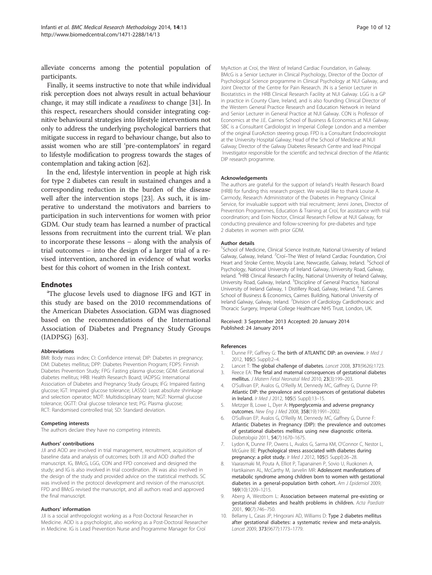<span id="page-9-0"></span>alleviate concerns among the potential population of participants.

Finally, it seems instructive to note that while individual risk perception does not always result in actual behaviour change, it may still indicate a readiness to change [\[31\]](#page-10-0). In this respect, researchers should consider integrating cognitive behavioural strategies into lifestyle interventions not only to address the underlying psychological barriers that mitigate success in regard to behaviour change, but also to assist women who are still 'pre-contemplators' in regard to lifestyle modification to progress towards the stages of contemplation and taking action [\[62\]](#page-11-0).

In the end, lifestyle intervention in people at high risk for type 2 diabetes can result in sustained changes and a corresponding reduction in the burden of the disease well after the intervention stops [\[23\]](#page-10-0). As such, it is imperative to understand the motivators and barriers to participation in such interventions for women with prior GDM. Our study team has learned a number of practical lessons from recruitment into the current trial. We plan to incorporate these lessons – along with the analysis of trial outcomes – into the design of a larger trial of a revised intervention, anchored in evidence of what works best for this cohort of women in the Irish context.

# **Endnotes**

The glucose levels used to diagnose IFG and IGT in this study are based on the 2010 recommendations of the American Diabetes Association. GDM was diagnosed based on the recommendations of the International Association of Diabetes and Pregnancy Study Groups (IADPSG) [[63](#page-11-0)].

#### Abbreviations

BMI: Body mass index; CI: Confidence interval; DIP: Diabetes in pregnancy; DM: Diabetes mellitus; DPP: Diabetes Prevention Program; FDPS: Finnish Diabetes Prevention Study; FPG: Fasting plasma glucose; GDM: Gestational diabetes mellitus; HRB: Health Research Board; IADPSG: International Association of Diabetes and Pregnancy Study Groups; IFG: Impaired fasting glucose; IGT: Impaired glucose tolerance; LASSO: Least absolute shrinkage and selection operator; MDT: Multidisciplinary team; NGT: Normal glucose tolerance; OGTT: Oral glucose tolerance test; PG: Plasma glucose; RCT: Randomised controlled trial; SD: Standard deviation.

#### Competing interests

The authors declare they have no competing interests.

#### Authors' contributions

JJI and AOD are involved in trial management, recruitment, acquisition of baseline data and analysis of outcomes; both JJI and AOD drafted the manuscript. IG, BMcG, LGG, CON and FPD conceived and designed the study; and IG is also involved in trial coordination. JN was also involved in the design of the study and provided advice on the statistical methods. SC was involved in the protocol development and revision of the manuscript. FPD and BMcG revised the manuscript, and all authors read and approved the final manuscript.

#### Authors' information

JJI is a social anthropologist working as a Post-Doctoral Researcher in Medicine. AOD is a psychologist, also working as a Post-Doctoral Researcher in Medicine. IG is Lead Prevention Nurse and Programme Manager for Croí

MyAction at Croí, the West of Ireland Cardiac Foundation, in Galway. BMcG is a Senior Lecturer in Clinical Psychology, Director of the Doctor of Psychological Science programme in Clinical Psychology at NUI Galway, and Joint Director of the Centre for Pain Research. JN is a Senior Lecturer in Biostatistics in the HRB Clinical Research Facility at NUI Galway. LGG is a GP in practice in County Clare, Ireland, and is also founding Clinical Director of the Western General Practice Research and Education Network in Ireland and Senior Lecturer in General Practice at NUI Galway. CON is Professor of Economics at the J.E. Cairnes School of Business & Economics at NUI Galway. SBC is a Consultant Cardiologist in Imperial College London and a member of the original EuroAction steering group. FPD is a Consultant Endocrinologist at the University Hospital Galway; Head of the School of Medicine at NUI Galway; Director of the Galway Diabetes Research Centre and lead Principal Investigator responsible for the scientific and technical direction of the Atlantic DIP research programme.

#### Acknowledgements

The authors are grateful for the support of Ireland's Health Research Board (HRB) for funding this research project. We would like to thank Louise A. Carmody, Research Administrator of the Diabetes in Pregnancy Clinical Service, for invaluable support with trial recruitment; Jenni Jones, Director of Prevention Programmes, Education & Training at Croí, for assistance with trial coordination; and Eoin Noctor, Clinical Research Fellow at NUI Galway, for conducting prevalence and follow-screening for pre-diabetes and type 2 diabetes in women with prior GDM.

#### Author details

<sup>1</sup>School of Medicine, Clinical Science Institute, National University of Ireland Galway, Galway, Ireland. <sup>2</sup> Croí-The West of Ireland Cardiac Foundation, Croi Heart and Stroke Centre, Moyola Lane, Newcastle, Galway, Ireland. <sup>3</sup>School of Psychology, National University of Ireland Galway, University Road, Galway, Ireland. <sup>4</sup> HRB Clinical Research Facility, National University of Ireland Galway, University Road, Galway, Ireland. <sup>5</sup>Discipline of General Practice, National University of Ireland Galway, 1 Distillery Road, Galway, Ireland. <sup>6</sup>J.E. Cairnes School of Business & Economics, Cairnes Building, National University of Ireland Galway, Galway, Ireland. <sup>7</sup> Division of Cardiology Cardiothoracic and Thoracic Surgery, Imperial College Healthcare NHS Trust, London, UK.

#### Received: 3 September 2013 Accepted: 20 January 2014 Published: 24 January 2014

#### References

- 1. Dunne FP, Gaffney G: The birth of ATLANTIC DIP: an overview. Ir Med J 2012, 105(5 Suppl):2–4.
- 2. Lancet T: The global challenge of diabetes. Lancet 2008, 371(9626):1723.
- 3. Reece EA: The fetal and maternal consequences of gestational diabetes mellitus. J Matern Fetal Neonatal Med 2010, 23(3):199–203.
- 4. O'Sullivan EP, Avalos G, O'Reilly M, Dennedy MC, Gaffney G, Dunne FP: Atlantic DIP: the prevalence and consequences of gestational diabetes in Ireland. Ir Med J 2012, 105(5 Suppl):13–15.
- 5. Metzger B, Lowe L, Dyer A: Hyperglycemia and adverse pregnancy outcomes. New Eng J Med 2008, 358(19):1991–2002.
- 6. O'Sullivan EP, Avalos G, O'Reilly M, Dennedy MC, Gaffney G, Dunne F: Atlantic Diabetes in Pregnancy (DIP): the prevalence and outcomes of gestational diabetes mellitus using new diagnostic criteria. Diabetologia 2011, 54(7):1670–1675.
- 7. Lydon K, Dunne FP, Owens L, Avalos G, Sarma KM, O'Connor C, Nestor L, McGuire BE: Psychological stress associated with diabetes during pregnancy: a pilot study. Ir Med J 2012, 105(5 Suppl):26-28.
- 8. Vaarasmaki M, Pouta A, Elliot P, Tapanainen P, Sovio U, Ruokonen A, Hartikainen AL, McCarthy M, Jarvelin MR: Adolescent manifestations of metabolic syndrome among children born to women with gestational diabetes in a general-population birth cohort. Am J Epidemiol 2009, 169(10):1209–1215.
- 9. Aberg A, Westbom L: Association between maternal pre-existing or gestational diabetes and health problems in children. Acta Paediatr 2001, 90(7):746–750.
- 10. Bellamy L, Casas JP, Hingorani AD, Williams D: Type 2 diabetes mellitus after gestational diabetes: a systematic review and meta-analysis. Lancet 2009, 373(9677):1773–1779.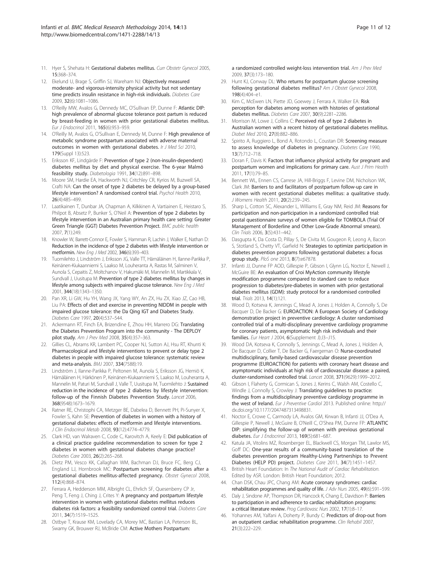- <span id="page-10-0"></span>11. Hyer S, Shehata H: Gestational diabetes mellitus. Curr Obstetr Gynecol 2005, 15:368–374.
- 12. Ekelund U, Brage S, Griffin SJ, Wareham NJ: Objectively measured moderate- and vigorous-intensity physical activity but not sedentary time predicts insulin resistance in high-risk individuals. Diabetes Care 2009, 32(6):1081–1086.
- 13. O'Reilly MW, Avalos G, Dennedy MC, O'Sullivan EP, Dunne F: Atlantic DIP: high prevalence of abnormal glucose tolerance post partum is reduced by breast-feeding in women with prior gestational diabetes mellitus. Eur J Endocrinol 2011, 165(6):953–959.
- 14. O'Reilly M, Avalos G, O'Sullivan E, Dennedy M, Dunne F: High prevalence of metabolic syndrome postpartum associated with adverse maternal outcomes in women with gestational diabetes. Ir J Med Sci 2010, 179(Suppl 13):523.
- 15. Eriksson KF, Lindgärde F: Prevention of type 2 (non-insulin-dependent) diabetes mellitus by diet and physical exercise. The 6-year Malmö feasibility study. Diabetologia 1991, 34(12):891–898.
- 16. Moore SM, Hardie EA, Hackworth NJ, Critchley CR, Kyrios M, Buzwell SA, Crafti NA: Can the onset of type 2 diabetes be delayed by a group-based lifestyle intervention? A randomised control trial. Psychol Health 2010, 26(4):485–499.
- 17. Laatikainen T, Dunbar JA, Chapman A, Kilkkinen A, Vartiainen E, Heistaro S, Philpot B, Absetz P, Bunker S, O'Neil A: Prevention of type 2 diabetes by lifestyle intervention in an Australian primary health care setting: Greater Green Triangle (GGT) Diabetes Prevention Project. BMC public health 2007, 7(1):249.
- 18. Knowler W, Barrett-Connor E, Fowler S, Hamman R, Lachin J, Walker E, Nathan D: Reduction in the incidence of type 2 diabetes with lifestyle intervention or metformin. New Eng J Med 2002, 346(6):393–403.
- 19. Tuomilehto J, Lindström J, Eriksson JG, Valle TT, Hämäläinen H, Ilanne-Parikka P, Keinänen-Kiukaanniemi S, Laakso M, Louheranta A, Rastas M, Salminen V, Aunola S, Cepaitis Z, Moltchanov V, Hakumäki M, Mannelin M, Martikkala V, Sundvall J, Uusitupa M: Prevention of type 2 diabetes mellitus by changes in lifestyle among subjects with impaired glucose tolerance. New Eng J Med 2001, 344(18):1343–1350.
- 20. Pan XR, Li GW, Hu YH, Wang JX, Yang WY, An ZX, Hu ZX, Xiao JZ, Cao HB, Liu PA: Effects of diet and exercise in preventing NIDDM in people with impaired glucose tolerance: the Da Qing IGT and Diabetes Study. Diabetes Care 1997, 20(4):537–544.
- 21. Ackermann RT, Finch EA, Brizendine E, Zhou HH, Marrero DG: Translating the Diabetes Prevention Program into the community - The DEPLOY pilot study. Am J Prev Med 2008, 35(4):357–363.
- 22. Gillies CL, Abrams KR, Lambert PC, Cooper NJ, Sutton AJ, Hsu RT, Khunti K: Pharmacological and lifestyle interventions to prevent or delay type 2 diabetes in people with impaired glucose tolerance: systematic review and meta-analysis. BMJ 2007, 334(7588):19.
- 23. Lindström J, Ilanne-Parikka P, Peltonen M, Aunola S, Eriksson JG, Hemiö K, Hämäläinen H, Härkönen P, Keinänen-Kiukaanniemi S, Laakso M, Louheranta A, Mannelin M, Paturi M, Sundvall J, Valle T, Uusitupa M, Tuomilehto J: Sustained reduction in the incidence of type 2 diabetes by lifestyle intervention: follow-up of the Finnish Diabetes Prevention Study. Lancet 2006, 368(9548):1673–1679.
- 24. Ratner RE, Christophi CA, Metzger BE, Dabelea D, Bennett PH, Pi-Sunyer X, Fowler S, Kahn SE: Prevention of diabetes in women with a history of gestational diabetes: effects of metformin and lifestyle interventions. J Clin Endocrinol Metab 2008, 93(12):4774–4779.
- 25. Clark HD, van Walraven C, Code C, Karovitch A, Keely E: Did publication of a clinical practice guideline recommendation to screen for type 2 diabetes in women with gestational diabetes change practice? Diabetes Care 2003, 26(2):265–268.
- 26. Dietz PM, Vesco KK, Callaghan WM, Bachman DJ, Bruce FC, Berg CJ, England LJ, Hornbrook MC: Postpartum screening for diabetes after a gestational diabetes mellitus-affected pregnancy. Obstet Gynecol 2008, 112(4):868–874.
- 27. Ferrara A, Hedderson MM, Albright CL, Ehrlich SF, Quesenberry CP Jr, Peng T, Feng J, Ching J, Crites Y: A pregnancy and postpartum lifestyle intervention in women with gestational diabetes mellitus reduces diabetes risk factors: a feasibility randomized control trial. Diabetes Care 2011, 34(7):1519–1525.
- 28. Ostbye T, Krause KM, Lovelady CA, Morey MC, Bastian LA, Peterson BL, Swamy GK, Brouwer RJ, McBride CM: Active Mothers Postpartum:
- 29. Hunt KJ, Conway DL: Who returns for postpartum glucose screening following gestational diabetes mellitus? Am J Obstet Gynecol 2008, 198(4):404–e1.
- 30. Kim C, McEwen LN, Piette JD, Goewey J, Ferrara A, Walker EA: Risk perception for diabetes among women with histories of gestational diabetes mellitus. Diabetes Care 2007, 30(9):2281–2286.
- 31. Morrison M, Lowe J, Collins C: Perceived risk of type 2 diabetes in Australian women with a recent history of gestational diabetes mellitus. Diabet Med 2010, 27(8):882–886.
- 32. Spirito A, Ruggiero L, Bond A, Rotondo L, Coustan DR: Screening measure to assess knowledge of diabetes in pregnancy. Diabetes Care 1990, 13(7):712–718.
- 33. Doran F, Davis K: Factors that influence physical activity for pregnant and postpartum women and implications for primary care. Aust J Prim Health 2011, 17(1):79–85.
- 34. Bennett WL, Ennen CS, Carrese JA, Hill-Briggs F, Levine DM, Nicholson WK, Clark JM: Barriers to and facilitators of postpartum follow-up care in women with recent gestational diabetes mellitus: a qualitative study. J Womens Health 2011, 20(2):239–245.
- 35. Sharp L, Cotton SC, Alexander L, Williams E, Gray NM, Reid JM: Reasons for participation and non-participation in a randomized controlled trial: postal questionnaire surveys of women eligible for TOMBOLA (Trial Of Management of Borderline and Other Low-Grade Abnormal smears). Clin Trials 2006, 3(5):431–442.
- 36. Dasgupta K, Da Costa D, Pillay S, De Civita M, Gougeon R, Leong A, Bacon S, Stotland S, Chetty VT, Garfield N: Strategies to optimize participation in diabetes prevention programs following gestational diabetes: a focus group study. PloS one 2013, 8(7):e67878.
- 37. Infanti JJ, Dunne FP AOD, Gillespie P, Gibson I, Glynn LG, Noctor E, Newell J, McGuire BE: An evaluation of Croi MyAction community lifestyle modification programme compared to standard care to reduce progression to diabetes/pre-diabetes in women with prior gestational diabetes mellitus (GDM): study protocol for a randomised controlled trial. Trials 2013, 14(1):121.
- 38. Wood D, Kotseva K, Jennings C, Mead A, Jones J, Holden A, Connolly S, De Bacquer D, De Backer G: EUROACTION: A European Society of Cardiology demonstration project in preventive cardiology: A cluster randomised controlled trial of a multi-disciplinary preventive cardiology programme for coronary patients, asymptomatic high risk individuals and their families. Eur Heart J 2004, 6(Supplement J):J3–J15.
- 39. Wood DA, Kotseva K, Connolly S, Jennings C, Mead A, Jones J, Holden A, De Bacquer D, Collier T, De Backer G, Faergeman O: Nurse-coordinated multidisciplinary, family-based cardiovascular disease prevention programme (EUROACTION) for patients with coronary heart disease and asymptomatic individuals at high risk of cardiovascular disease: a paired, cluster-randomised controlled trial. Lancet 2008, 371(9629):1999–2012.
- 40. Gibson I, Flaherty G, Cormican S, Jones J, Kerins C, Walsh AM, Costello C, Windle J, Connolly S, Crowley J: Translating guidelines to practice: findings from a multidisciplinary preventive cardiology programme in the west of Ireland. Eur J Preventive Cardiol 2013. Published online: [http://](http://dx.doi.org/10.1177/2047487313498831) [dx.doi.org/10.1177/2047487313498831.](http://dx.doi.org/10.1177/2047487313498831)
- 41. Noctor E, Crowe C, Carmody LA, Avalos GM, Kirwan B, Infanti JJ, O'Dea A, Gillespie P, Newell J, McGuire B, O'Neill C, O'Shea PM, Dunne FP: ATLANTIC DIP: simplifying the follow-up of women with previous gestational diabetes. Eur J Endocrinol 2013, 169(5):681–687.
- 42. Katula JA, Vitolins MZ, Rosenberger EL, Blackwell CS, Morgan TM, Lawlor MS, Goff DC: One-year results of a community-based translation of the diabetes prevention program Healthy-Living Partnerships to Prevent Diabetes (HELP PD) project. Diabetes Care 2011, 34(7):1451–1457.
- 43. British Heart Foundation: In The National Audit of Cardiac Rehabilitation. Edited by ASR. London: British Heart Foundation; 2012.
- 44. Chan DSK, Chau JPC, Chang AM: Acute coronary syndromes: cardiac rehabilitation programmes and quality of life. J Adv Nurs 2005, 49(6):591–599.
- 45. Daly J, Sindone AP, Thompson DR, Hancock K, Chang E, Davidson P: Barriers to participation in and adherence to cardiac rehabilitation programs: a critical literature review. Prog Cardiovasc Nurs 2002, 17(1):8–17.
- 46. Yohannes AM, Yalfani A, Doherty P, Bundy C: Predictors of drop-out from an outpatient cardiac rehabilitation programme. Clin Rehabil 2007, 21(3):222–229.